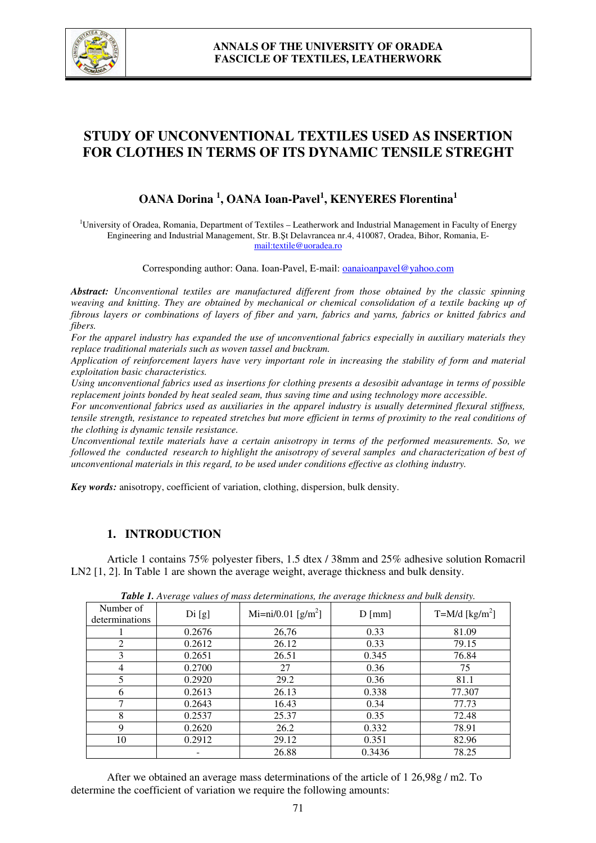

# **STUDY OF UNCONVENTIONAL TEXTILES USED AS INSERTION FOR CLOTHES IN TERMS OF ITS DYNAMIC TENSILE STREGHT**

# **OANA Dorina <sup>1</sup> , OANA Ioan-Pavel<sup>1</sup> , KENYERES Florentina<sup>1</sup>**

<sup>1</sup>University of Oradea, Romania, Department of Textiles – Leatherwork and Industrial Management in Faculty of Energy Engineering and Industrial Management, Str. B.Şt Delavrancea nr.4, 410087, Oradea, Bihor, Romania, Email:textile@uoradea.ro

Corresponding author: Oana. Ioan-Pavel, E-mail: oanaioanpavel@yahoo.com

*Abstract: Unconventional textiles are manufactured different from those obtained by the classic spinning weaving and knitting. They are obtained by mechanical or chemical consolidation of a textile backing up of fibrous layers or combinations of layers of fiber and yarn, fabrics and yarns, fabrics or knitted fabrics and fibers.* 

*For the apparel industry has expanded the use of unconventional fabrics especially in auxiliary materials they replace traditional materials such as woven tassel and buckram.* 

*Application of reinforcement layers have very important role in increasing the stability of form and material exploitation basic characteristics.* 

*Using unconventional fabrics used as insertions for clothing presents a desosibit advantage in terms of possible replacement joints bonded by heat sealed seam, thus saving time and using technology more accessible.* 

*For unconventional fabrics used as auxiliaries in the apparel industry is usually determined flexural stiffness, tensile strength, resistance to repeated stretches but more efficient in terms of proximity to the real conditions of the clothing is dynamic tensile resistance.* 

*Unconventional textile materials have a certain anisotropy in terms of the performed measurements. So, we followed the conducted research to highlight the anisotropy of several samples and characterization of best of unconventional materials in this regard, to be used under conditions effective as clothing industry.* 

*Key words:* anisotropy, coefficient of variation, clothing, dispersion, bulk density.

### **1. INTRODUCTION**

 Article 1 contains 75% polyester fibers, 1.5 dtex / 38mm and 25% adhesive solution Romacril LN2 [1, 2]. In Table 1 are shown the average weight, average thickness and bulk density.

| <b>Table 1.</b> Average values of mass determinations, the average interness and buin density. |        |                                |                 |                              |  |  |  |  |
|------------------------------------------------------------------------------------------------|--------|--------------------------------|-----------------|------------------------------|--|--|--|--|
| Number of<br>determinations                                                                    | Di[g]  | Mi=ni/0.01 [g/m <sup>2</sup> ] | $D \text{[mm]}$ | $T=M/d$ [kg/m <sup>2</sup> ] |  |  |  |  |
|                                                                                                | 0.2676 | 26,76                          | 0.33            | 81.09                        |  |  |  |  |
| 2                                                                                              | 0.2612 | 26.12                          | 0.33            | 79.15                        |  |  |  |  |
| 3                                                                                              | 0.2651 | 26.51                          | 0.345           | 76.84                        |  |  |  |  |
| 4                                                                                              | 0.2700 | 27                             | 0.36            | 75                           |  |  |  |  |
| 5                                                                                              | 0.2920 | 29.2                           | 0.36            | 81.1                         |  |  |  |  |
| 6                                                                                              | 0.2613 | 26.13                          | 0.338           | 77.307                       |  |  |  |  |
| 7                                                                                              | 0.2643 | 16.43                          | 0.34            | 77.73                        |  |  |  |  |
| 8                                                                                              | 0.2537 | 25.37                          | 0.35            | 72.48                        |  |  |  |  |
| 9                                                                                              | 0.2620 | 26.2                           | 0.332           | 78.91                        |  |  |  |  |
| 10                                                                                             | 0.2912 | 29.12                          | 0.351           | 82.96                        |  |  |  |  |
|                                                                                                |        | 26.88                          | 0.3436          | 78.25                        |  |  |  |  |

*Table 1. Average values of mass determinations, the average thickness and bulk density.* 

After we obtained an average mass determinations of the article of 1 26,98g / m2. To determine the coefficient of variation we require the following amounts: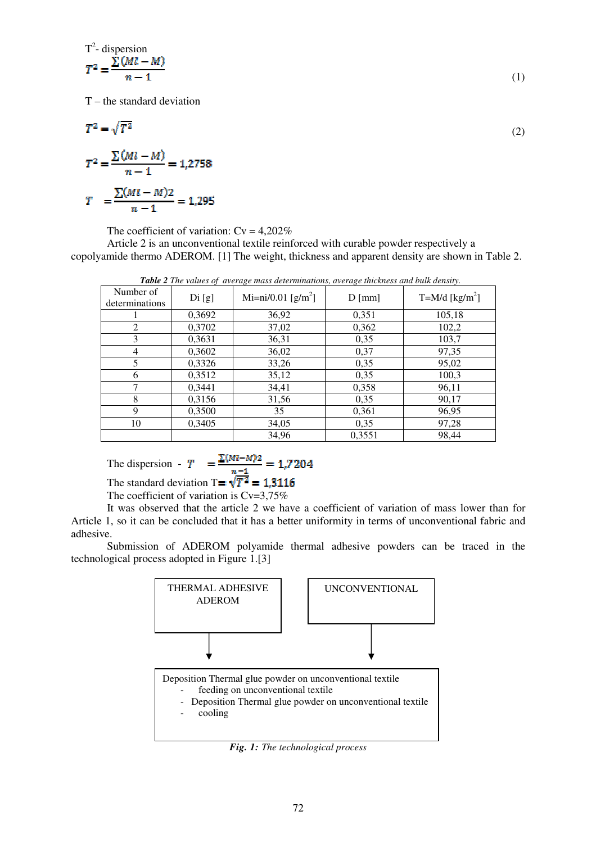$$
T^{2} = \frac{\sum (Ml - M)}{n - 1}
$$
 (1)

 $T$  – the standard deviation

(2)

$$
T^{2} = \frac{\sum (Ml - M)}{n - 1} = 1,2758
$$

$$
T = \frac{\sum (Ml - M)2}{n - 1} = 1,295
$$

The coefficient of variation:  $Cv = 4,202\%$ 

Article 2 is an unconventional textile reinforced with curable powder respectively a copolyamide thermo ADEROM. [1] The weight, thickness and apparent density are shown in Table 2.

| <b>Table</b> 2 The values of average mass determinations, average intermess and buik density. |        |                                |                 |                           |  |  |  |  |
|-----------------------------------------------------------------------------------------------|--------|--------------------------------|-----------------|---------------------------|--|--|--|--|
| Number of<br>determinations                                                                   | Di[g]  | Mi=ni/0.01 [g/m <sup>2</sup> ] | $D \text{[mm]}$ | T=M/d [ $\text{kg/m}^2$ ] |  |  |  |  |
|                                                                                               | 0,3692 | 36,92                          | 0,351           | 105,18                    |  |  |  |  |
| 2                                                                                             | 0,3702 | 37,02                          | 0,362           | 102,2                     |  |  |  |  |
| 3                                                                                             | 0,3631 | 36,31                          | 0,35            | 103,7                     |  |  |  |  |
| 4                                                                                             | 0,3602 | 36,02                          | 0,37            | 97,35                     |  |  |  |  |
| 5                                                                                             | 0,3326 | 33,26                          | 0,35            | 95,02                     |  |  |  |  |
| 6                                                                                             | 0,3512 | 35,12                          | 0,35            | 100,3                     |  |  |  |  |
| 7                                                                                             | 0,3441 | 34,41                          | 0,358           | 96,11                     |  |  |  |  |
| 8                                                                                             | 0,3156 | 31,56                          | 0,35            | 90,17                     |  |  |  |  |
| 9                                                                                             | 0,3500 | 35                             | 0,361           | 96,95                     |  |  |  |  |
| 10                                                                                            | 0,3405 | 34,05                          | 0.35            | 97,28                     |  |  |  |  |
|                                                                                               |        | 34,96                          | 0,3551          | 98,44                     |  |  |  |  |

 *Table 2 The values of average mass determinations, average thickness and bulk density.* 

The dispersion - 
$$
T = \frac{\Sigma (M - M)^2}{\Sigma (M - M)^2} = 1.7204
$$

The standard deviation T=  $\sqrt{T^2}$  = 1,3116

The coefficient of variation is  $Cv=3,75%$ 

It was observed that the article 2 we have a coefficient of variation of mass lower than for Article 1, so it can be concluded that it has a better uniformity in terms of unconventional fabric and adhesive.

 Submission of ADEROM polyamide thermal adhesive powders can be traced in the technological process adopted in Figure 1.[3]



*Fig. 1: The technological process*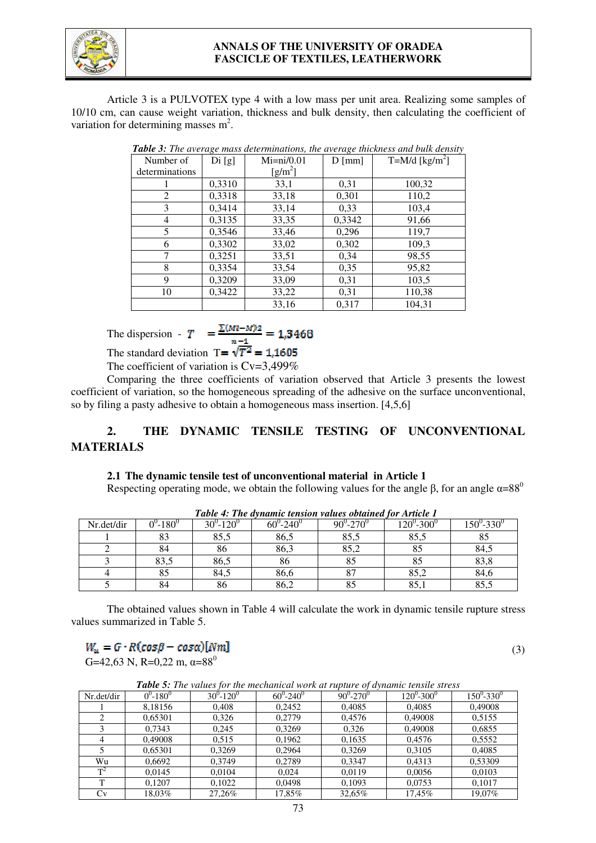

## **ANNALS OF THE UNIVERSITY OF ORADEA FASCICLE OF TEXTILES, LEATHERWORK**

Article 3 is a PULVOTEX type 4 with a low mass per unit area. Realizing some samples of 10/10 cm, can cause weight variation, thickness and bulk density, then calculating the coefficient of variation for determining masses  $m^2$ .

| Number of      | Di[g]  | $Mi=ni/0.01$                | $D \text{[mm]}$ | T=M/d [ $\text{kg/m}^2$ ] |
|----------------|--------|-----------------------------|-----------------|---------------------------|
| determinations |        | $\left[\text{g/m}^2\right]$ |                 |                           |
|                | 0,3310 | 33,1                        | 0,31            | 100,32                    |
| 2              | 0,3318 | 33,18                       | 0,301           | 110,2                     |
| 3              | 0,3414 | 33,14                       | 0,33            | 103,4                     |
| $\overline{4}$ | 0,3135 | 33,35                       | 0,3342          | 91,66                     |
| 5              | 0,3546 | 33,46                       | 0,296           | 119,7                     |
| 6              | 0,3302 | 33,02                       | 0,302           | 109,3                     |
| 7              | 0,3251 | 33,51                       | 0,34            | 98,55                     |
| 8              | 0,3354 | 33,54                       | 0,35            | 95,82                     |
| 9              | 0,3209 | 33,09                       | 0,31            | 103,5                     |
| 10             | 0,3422 | 33,22                       | 0,31            | 110,38                    |
|                |        | 33,16                       | 0,317           | 104,31                    |

*Table 3: The average mass determinations, the average thickness and bulk density* 

The dispersion -  $T = \frac{\sum (M1 - M)^2}{n-1} = 1,3468$ The standard deviation  $T = \sqrt{T^2} = 1.1605$ 

The coefficient of variation is  $Cv=3,499\%$ 

 Comparing the three coefficients of variation observed that Article 3 presents the lowest coefficient of variation, so the homogeneous spreading of the adhesive on the surface unconventional, so by filing a pasty adhesive to obtain a homogeneous mass insertion. [4,5,6]

# **2. THE DYNAMIC TENSILE TESTING OF UNCONVENTIONAL MATERIALS**

### **2.1 The dynamic tensile test of unconventional material in Article 1**

Respecting operating mode, we obtain the following values for the angle  $\beta$ , for an angle  $\alpha=88^\circ$ 

|            | <b>Table 4: The aynamic tension values obtained for Article 1</b> |                              |                            |                            |                   |          |  |  |  |
|------------|-------------------------------------------------------------------|------------------------------|----------------------------|----------------------------|-------------------|----------|--|--|--|
| Nr.det/dir | $\sim 180^\circ$                                                  | $30^{\circ}$ -120 $^{\circ}$ | $60^{\circ} - 240^{\circ}$ | $90^{\circ} - 270^{\circ}$ | $120^0$ -300 $^0$ | 150°-330 |  |  |  |
|            | 83                                                                | 85,5                         | 86,5                       | 85,5                       | 85,5              |          |  |  |  |
|            | 84                                                                | 86                           | 86,3                       | 85,2                       | 85                | 84,5     |  |  |  |
|            | 83,5                                                              | 86,5                         | 86                         | 85                         |                   | 83,8     |  |  |  |
|            | 85                                                                | 84,5                         | 86,6                       |                            | 85,2              | 84,6     |  |  |  |
|            |                                                                   | 86                           | 86,2                       |                            | 85.               | 85.5     |  |  |  |

*Table 4: The dynamic tension values obtained for Article 1*

The obtained values shown in Table 4 will calculate the work in dynamic tensile rupture stress values summarized in Table 5.

# (3)

G=42,63 N, R=0,22 m,  $\alpha$ =88<sup>0</sup>

| <b>Table 5:</b> The values for the mechanical work at rupture of dynamic tensile stress |               |                    |                |                |                 |                 |  |
|-----------------------------------------------------------------------------------------|---------------|--------------------|----------------|----------------|-----------------|-----------------|--|
| Nr.det/dir                                                                              | $0^0 - 180^0$ | $30^{0} - 120^{0}$ | $60^0 - 240^0$ | $90^0 - 270^0$ | $120^0 - 300^0$ | $150^0 - 330^0$ |  |
|                                                                                         | 8,18156       | 0,408              | 0,2452         | 0,4085         | 0,4085          | 0,49008         |  |
| 2                                                                                       | 0,65301       | 0,326              | 0,2779         | 0,4576         | 0,49008         | 0,5155          |  |
| 3                                                                                       | 0,7343        | 0,245              | 0,3269         | 0,326          | 0,49008         | 0,6855          |  |
| 4                                                                                       | 0.49008       | 0.515              | 0,1962         | 0,1635         | 0,4576          | 0,5552          |  |
|                                                                                         | 0,65301       | 0.3269             | 0,2964         | 0,3269         | 0,3105          | 0,4085          |  |
| Wu                                                                                      | 0,6692        | 0.3749             | 0,2789         | 0,3347         | 0,4313          | 0,53309         |  |
| $T^2$                                                                                   | 0,0145        | 0,0104             | 0,024          | 0,0119         | 0,0056          | 0,0103          |  |
| T                                                                                       | 0.1207        | 0,1022             | 0,0498         | 0,1093         | 0,0753          | 0,1017          |  |
| Cv                                                                                      | 18,03%        | 27,26%             | 17,85%         | 32,65%         | 17,45%          | 19,07%          |  |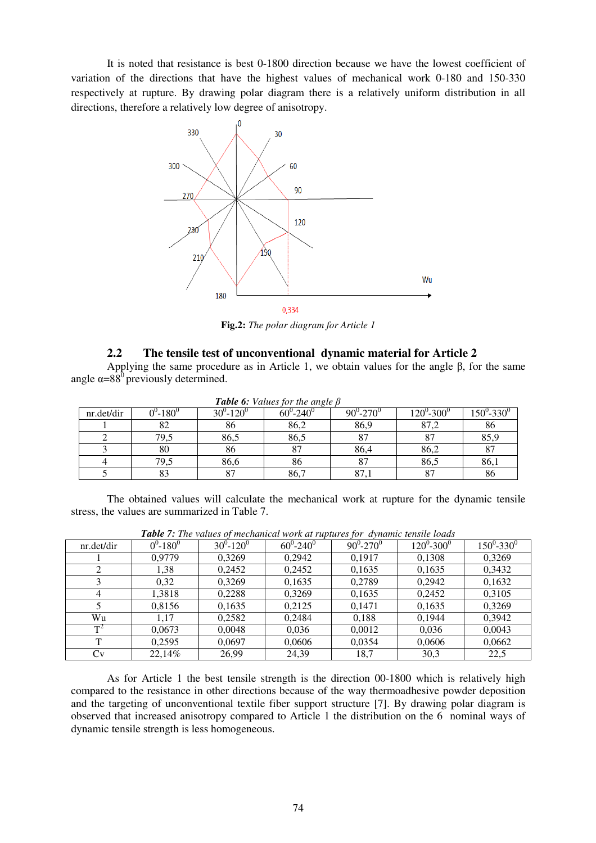It is noted that resistance is best 0-1800 direction because we have the lowest coefficient of variation of the directions that have the highest values of mechanical work 0-180 and 150-330 respectively at rupture. By drawing polar diagram there is a relatively uniform distribution in all directions, therefore a relatively low degree of anisotropy.



**Fig.2:** *The polar diagram for Article 1*

## **2.2 The tensile test of unconventional dynamic material for Article 2**

Applying the same procedure as in Article 1, we obtain values for the angle β, for the same angle  $\alpha = 88^\circ$  previously determined.

|            | <b>Table 6:</b> Values for the angle p |                            |                            |                            |                               |           |  |  |
|------------|----------------------------------------|----------------------------|----------------------------|----------------------------|-------------------------------|-----------|--|--|
| nr.det/dir | $-180^{\circ}$                         | $30^{\circ} - 120^{\circ}$ | $60^{\circ} - 240^{\circ}$ | $90^{\circ} - 270^{\circ}$ | $120^{\circ}$ -300 $^{\circ}$ | 150°-330° |  |  |
|            | o∠                                     | 86                         | 86,2                       | 86,9                       | 87,2                          | 86        |  |  |
|            | 79,5                                   | 86,5                       | 86,5                       | 87                         |                               | 85,9      |  |  |
|            | 80                                     | 86                         | O <sub>7</sub>             | 86,4                       | 86,2                          | 87        |  |  |
|            | 79,5                                   | 86,6                       | 86                         | 87                         | 86,5                          | 86,1      |  |  |
|            | 83                                     | 87                         | 86,7                       | 87,1                       | 87                            | 86        |  |  |

*Table 6: Values for the angle β*

The obtained values will calculate the mechanical work at rupture for the dynamic tensile stress, the values are summarized in Table 7.

| nr.det/dir | $0^0 - 180^0$ | $30^0 - 120^0$ | $60^0 - 240^0$ | $90^0 - 270^0$ | $120^0 - 300^0$ | $150^0 - 330^0$ |  |  |
|------------|---------------|----------------|----------------|----------------|-----------------|-----------------|--|--|
|            | 0.9779        | 0,3269         | 0.2942         | 0.1917         | 0,1308          | 0,3269          |  |  |
|            | 1,38          | 0,2452         | 0,2452         | 0,1635         | 0,1635          | 0,3432          |  |  |
|            | 0,32          | 0,3269         | 0,1635         | 0,2789         | 0,2942          | 0,1632          |  |  |
|            | 1,3818        | 0,2288         | 0.3269         | 0,1635         | 0,2452          | 0,3105          |  |  |
|            | 0,8156        | 0,1635         | 0.2125         | 0.1471         | 0,1635          | 0,3269          |  |  |
| Wu         | 1.17          | 0,2582         | 0,2484         | 0,188          | 0,1944          | 0,3942          |  |  |
| $T^2$      | 0,0673        | 0,0048         | 0,036          | 0,0012         | 0,036           | 0,0043          |  |  |
| m          | 0.2595        | 0,0697         | 0,0606         | 0,0354         | 0,0606          | 0,0662          |  |  |
| Cv         | 22,14%        | 26,99          | 24,39          | 18,7           | 30,3            | 22,5            |  |  |

*Table 7: The values of mechanical work at ruptures for dynamic tensile loads* 

As for Article 1 the best tensile strength is the direction 00-1800 which is relatively high compared to the resistance in other directions because of the way thermoadhesive powder deposition and the targeting of unconventional textile fiber support structure [7]. By drawing polar diagram is observed that increased anisotropy compared to Article 1 the distribution on the 6 nominal ways of dynamic tensile strength is less homogeneous.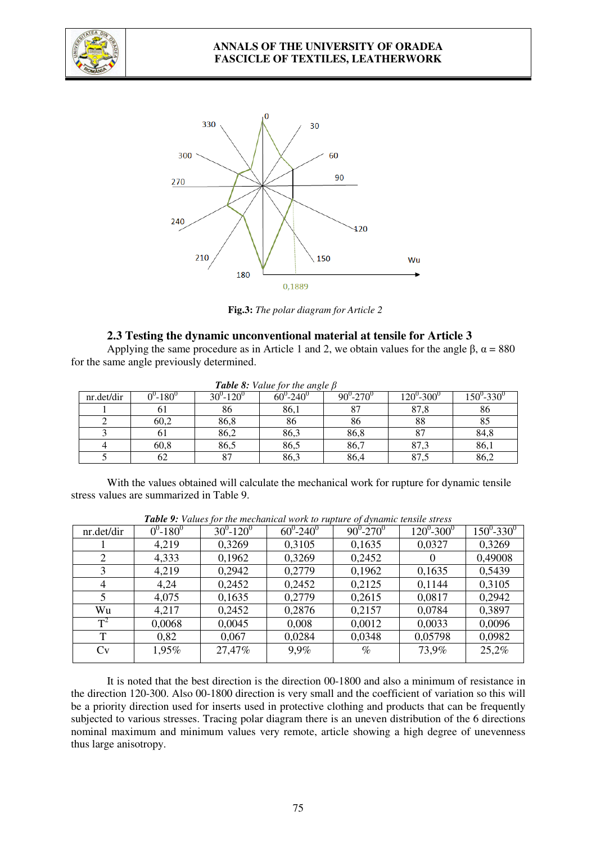



**Fig.3:** *The polar diagram for Article 2*

### **2.3 Testing the dynamic unconventional material at tensile for Article 3**

Applying the same procedure as in Article 1 and 2, we obtain values for the angle  $\beta$ ,  $\alpha = 880$ for the same angle previously determined.

| nr.det/dir | $0^{\circ}$ -180 $^{\circ}$ | $30^0 - 120^0$ | <b>Tuble 0.</b> Value for the angle p<br>$60^{\circ} - 240^{\circ}$ | $90^{\circ} - 270^{\circ}$ | $120^0$ -300 $^0$ | $150^{\circ}$ -330 $^{\circ}$ |
|------------|-----------------------------|----------------|---------------------------------------------------------------------|----------------------------|-------------------|-------------------------------|
|            | 01                          | 86             | 86,1                                                                | 87                         | 87,8              | 86                            |
|            | 60,2                        | 86,8           | 86                                                                  | 86                         | 88                | 85                            |
|            | 01                          | 86,2           | 86,3                                                                | 86,8                       | 87                | 84,8                          |
|            | 60,8                        | 86,5           | 86,5                                                                | 86,7                       | 87,3              | 86,1                          |
|            | 62                          | 87             | 86,3                                                                | 86,4                       | 87,5              | 86,2                          |

*Table 8: Value for the angle β*

With the values obtained will calculate the mechanical work for rupture for dynamic tensile stress values are summarized in Table 9.

|            |               | $\blacksquare$ wore $\triangleright$ . Then the fill interference in the following the fill in the control of $\blacksquare$ |                            |                |                 |                 |
|------------|---------------|------------------------------------------------------------------------------------------------------------------------------|----------------------------|----------------|-----------------|-----------------|
| nr.det/dir | $0^0 - 180^0$ | $30^0 - 120^0$                                                                                                               | $60^{\circ} - 240^{\circ}$ | $90^0 - 270^0$ | $120^0 - 300^0$ | $150^0 - 330^0$ |
|            | 4,219         | 0,3269                                                                                                                       | 0,3105                     | 0,1635         | 0,0327          | 0,3269          |
| 2          | 4,333         | 0,1962                                                                                                                       | 0,3269                     | 0,2452         | 0               | 0,49008         |
| 3          | 4,219         | 0,2942                                                                                                                       | 0,2779                     | 0,1962         | 0,1635          | 0,5439          |
| 4          | 4,24          | 0,2452                                                                                                                       | 0,2452                     | 0,2125         | 0,1144          | 0,3105          |
|            | 4,075         | 0,1635                                                                                                                       | 0,2779                     | 0,2615         | 0,0817          | 0,2942          |
| Wu         | 4,217         | 0,2452                                                                                                                       | 0,2876                     | 0,2157         | 0,0784          | 0,3897          |
| $T^2$      | 0,0068        | 0,0045                                                                                                                       | 0,008                      | 0,0012         | 0,0033          | 0,0096          |
| Т          | 0,82          | 0,067                                                                                                                        | 0,0284                     | 0,0348         | 0,05798         | 0,0982          |
| Cv         | 1,95%         | 27,47%                                                                                                                       | 9.9%                       | $\%$           | 73,9%           | 25,2%           |
|            |               |                                                                                                                              |                            |                |                 |                 |

*Table 9: Values for the mechanical work to rupture of dynamic tensile stress* 

It is noted that the best direction is the direction 00-1800 and also a minimum of resistance in the direction 120-300. Also 00-1800 direction is very small and the coefficient of variation so this will be a priority direction used for inserts used in protective clothing and products that can be frequently subjected to various stresses. Tracing polar diagram there is an uneven distribution of the 6 directions nominal maximum and minimum values very remote, article showing a high degree of unevenness thus large anisotropy.